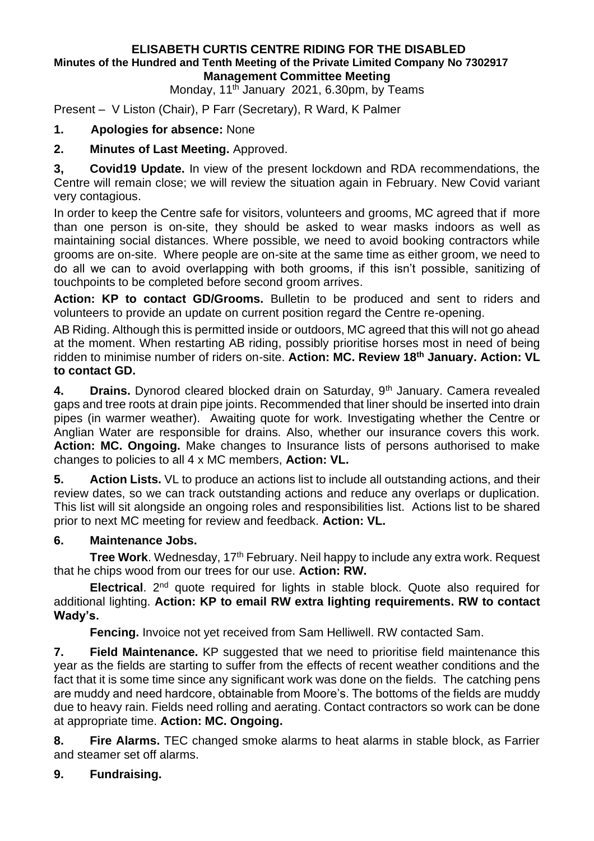#### **ELISABETH CURTIS CENTRE RIDING FOR THE DISABLED Minutes of the Hundred and Tenth Meeting of the Private Limited Company No 7302917 Management Committee Meeting**

Monday, 11<sup>th</sup> January 2021, 6.30pm, by Teams

Present – V Liston (Chair), P Farr (Secretary), R Ward, K Palmer

## **1. Apologies for absence:** None

**2. Minutes of Last Meeting.** Approved.

**3, Covid19 Update.** In view of the present lockdown and RDA recommendations, the Centre will remain close; we will review the situation again in February. New Covid variant very contagious.

In order to keep the Centre safe for visitors, volunteers and grooms, MC agreed that if more than one person is on-site, they should be asked to wear masks indoors as well as maintaining social distances. Where possible, we need to avoid booking contractors while grooms are on-site. Where people are on-site at the same time as either groom, we need to do all we can to avoid overlapping with both grooms, if this isn't possible, sanitizing of touchpoints to be completed before second groom arrives.

**Action: KP to contact GD/Grooms.** Bulletin to be produced and sent to riders and volunteers to provide an update on current position regard the Centre re-opening.

AB Riding. Although this is permitted inside or outdoors, MC agreed that this will not go ahead at the moment. When restarting AB riding, possibly prioritise horses most in need of being ridden to minimise number of riders on-site. **Action: MC. Review 18th January. Action: VL to contact GD.**

**4. Drains.** Dynorod cleared blocked drain on Saturday, 9th January. Camera revealed gaps and tree roots at drain pipe joints. Recommended that liner should be inserted into drain pipes (in warmer weather). Awaiting quote for work. Investigating whether the Centre or Anglian Water are responsible for drains. Also, whether our insurance covers this work. **Action: MC. Ongoing.** Make changes to Insurance lists of persons authorised to make changes to policies to all 4 x MC members, **Action: VL.**

**5. Action Lists.** VL to produce an actions list to include all outstanding actions, and their review dates, so we can track outstanding actions and reduce any overlaps or duplication. This list will sit alongside an ongoing roles and responsibilities list. Actions list to be shared prior to next MC meeting for review and feedback. **Action: VL.**

## **6. Maintenance Jobs.**

**Tree Work**. Wednesday, 17<sup>th</sup> February. Neil happy to include any extra work. Request that he chips wood from our trees for our use. **Action: RW.**

**Electrical**. 2nd quote required for lights in stable block. Quote also required for additional lighting. **Action: KP to email RW extra lighting requirements. RW to contact Wady's.**

**Fencing.** Invoice not yet received from Sam Helliwell. RW contacted Sam.

**7. Field Maintenance.** KP suggested that we need to prioritise field maintenance this year as the fields are starting to suffer from the effects of recent weather conditions and the fact that it is some time since any significant work was done on the fields. The catching pens are muddy and need hardcore, obtainable from Moore's. The bottoms of the fields are muddy due to heavy rain. Fields need rolling and aerating. Contact contractors so work can be done at appropriate time. **Action: MC. Ongoing.**

**8. Fire Alarms.** TEC changed smoke alarms to heat alarms in stable block, as Farrier and steamer set off alarms.

# **9. Fundraising.**